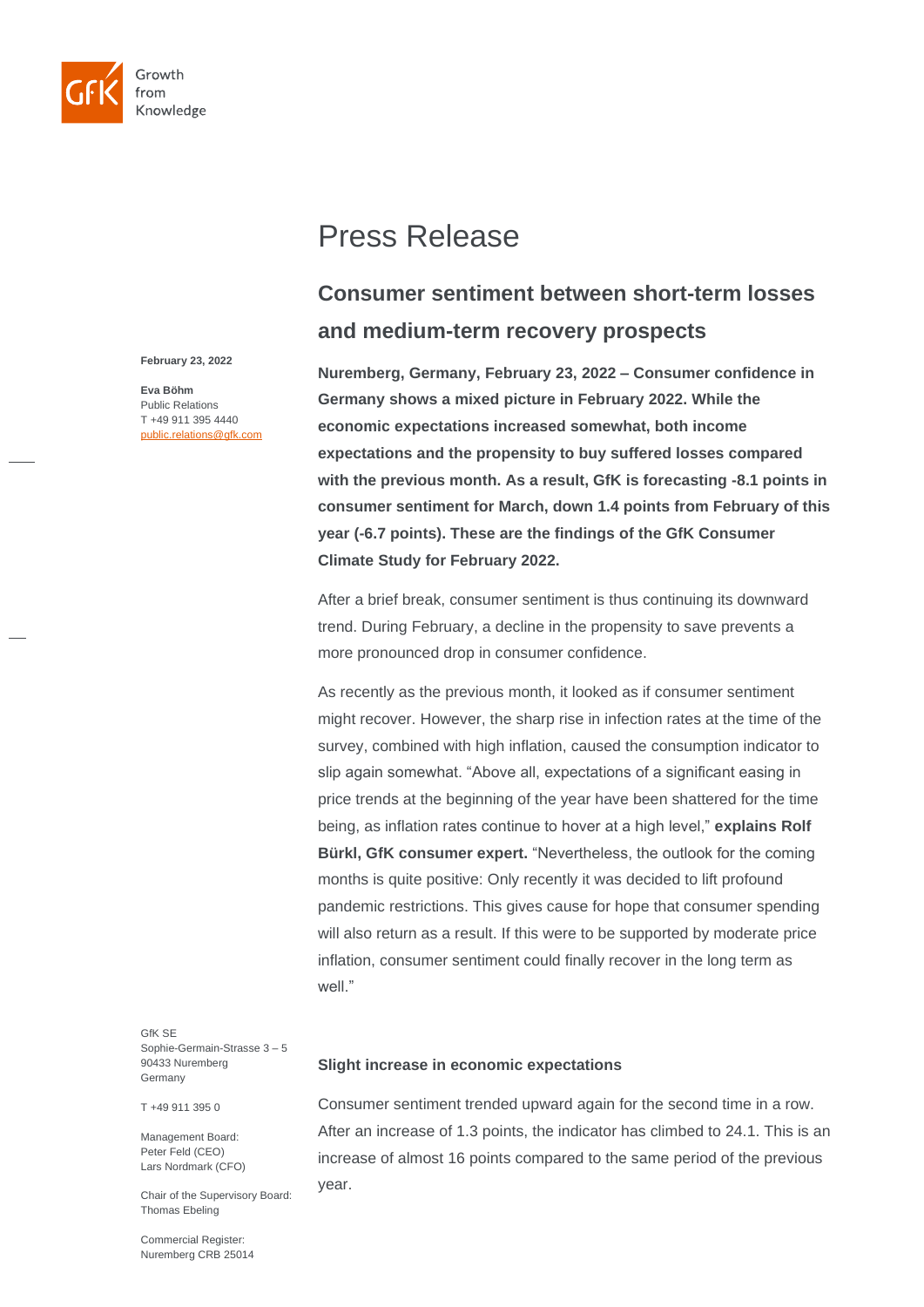

# Press Release

## **Consumer sentiment between short-term losses and medium-term recovery prospects**

**Nuremberg, Germany, February 23, 2022 – Consumer confidence in Germany shows a mixed picture in February 2022. While the economic expectations increased somewhat, both income expectations and the propensity to buy suffered losses compared with the previous month. As a result, GfK is forecasting -8.1 points in consumer sentiment for March, down 1.4 points from February of this year (-6.7 points). These are the findings of the GfK Consumer Climate Study for February 2022.**

After a brief break, consumer sentiment is thus continuing its downward trend. During February, a decline in the propensity to save prevents a more pronounced drop in consumer confidence.

As recently as the previous month, it looked as if consumer sentiment might recover. However, the sharp rise in infection rates at the time of the survey, combined with high inflation, caused the consumption indicator to slip again somewhat. "Above all, expectations of a significant easing in price trends at the beginning of the year have been shattered for the time being, as inflation rates continue to hover at a high level," **explains Rolf Bürkl, GfK consumer expert.** "Nevertheless, the outlook for the coming months is quite positive: Only recently it was decided to lift profound pandemic restrictions. This gives cause for hope that consumer spending will also return as a result. If this were to be supported by moderate price inflation, consumer sentiment could finally recover in the long term as well."

GfK SE Sophie-Germain-Strasse 3 – 5 90433 Nuremberg Germany

T +49 911 395 0

Management Board: Peter Feld (CEO) Lars Nordmark (CFO)

Chair of the Supervisory Board: Thomas Ebeling

Commercial Register: Nuremberg CRB 25014

#### **Slight increase in economic expectations**

Consumer sentiment trended upward again for the second time in a row. After an increase of 1.3 points, the indicator has climbed to 24.1. This is an increase of almost 16 points compared to the same period of the previous year.

**February 23, 2022**

**Eva Böhm** Public Relations T +49 911 395 4440 public.relations@gfk.com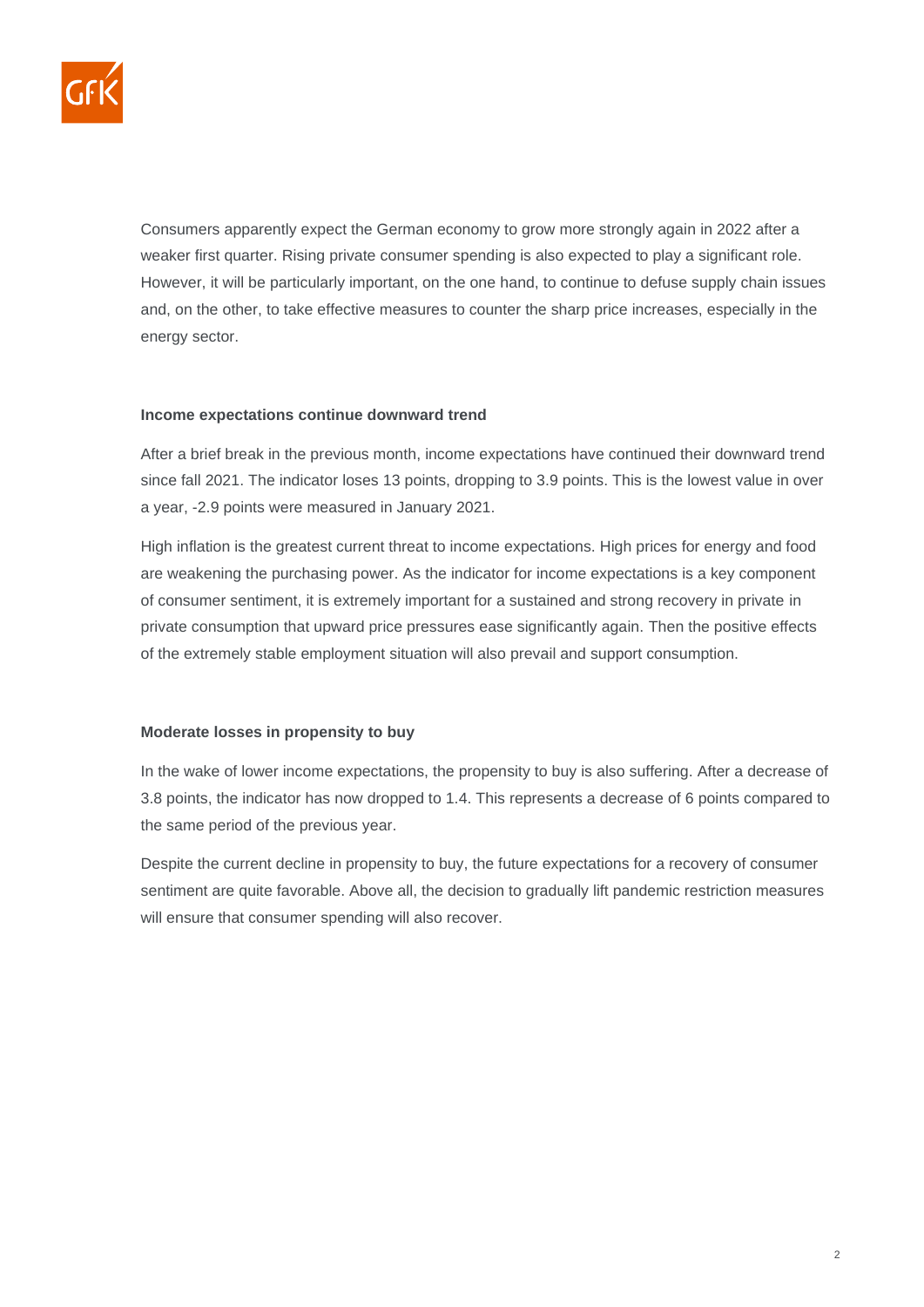

Consumers apparently expect the German economy to grow more strongly again in 2022 after a weaker first quarter. Rising private consumer spending is also expected to play a significant role. However, it will be particularly important, on the one hand, to continue to defuse supply chain issues and, on the other, to take effective measures to counter the sharp price increases, especially in the energy sector.

#### **Income expectations continue downward trend**

After a brief break in the previous month, income expectations have continued their downward trend since fall 2021. The indicator loses 13 points, dropping to 3.9 points. This is the lowest value in over a year, -2.9 points were measured in January 2021.

High inflation is the greatest current threat to income expectations. High prices for energy and food are weakening the purchasing power. As the indicator for income expectations is a key component of consumer sentiment, it is extremely important for a sustained and strong recovery in private in private consumption that upward price pressures ease significantly again. Then the positive effects of the extremely stable employment situation will also prevail and support consumption.

#### **Moderate losses in propensity to buy**

In the wake of lower income expectations, the propensity to buy is also suffering. After a decrease of 3.8 points, the indicator has now dropped to 1.4. This represents a decrease of 6 points compared to the same period of the previous year.

Despite the current decline in propensity to buy, the future expectations for a recovery of consumer sentiment are quite favorable. Above all, the decision to gradually lift pandemic restriction measures will ensure that consumer spending will also recover.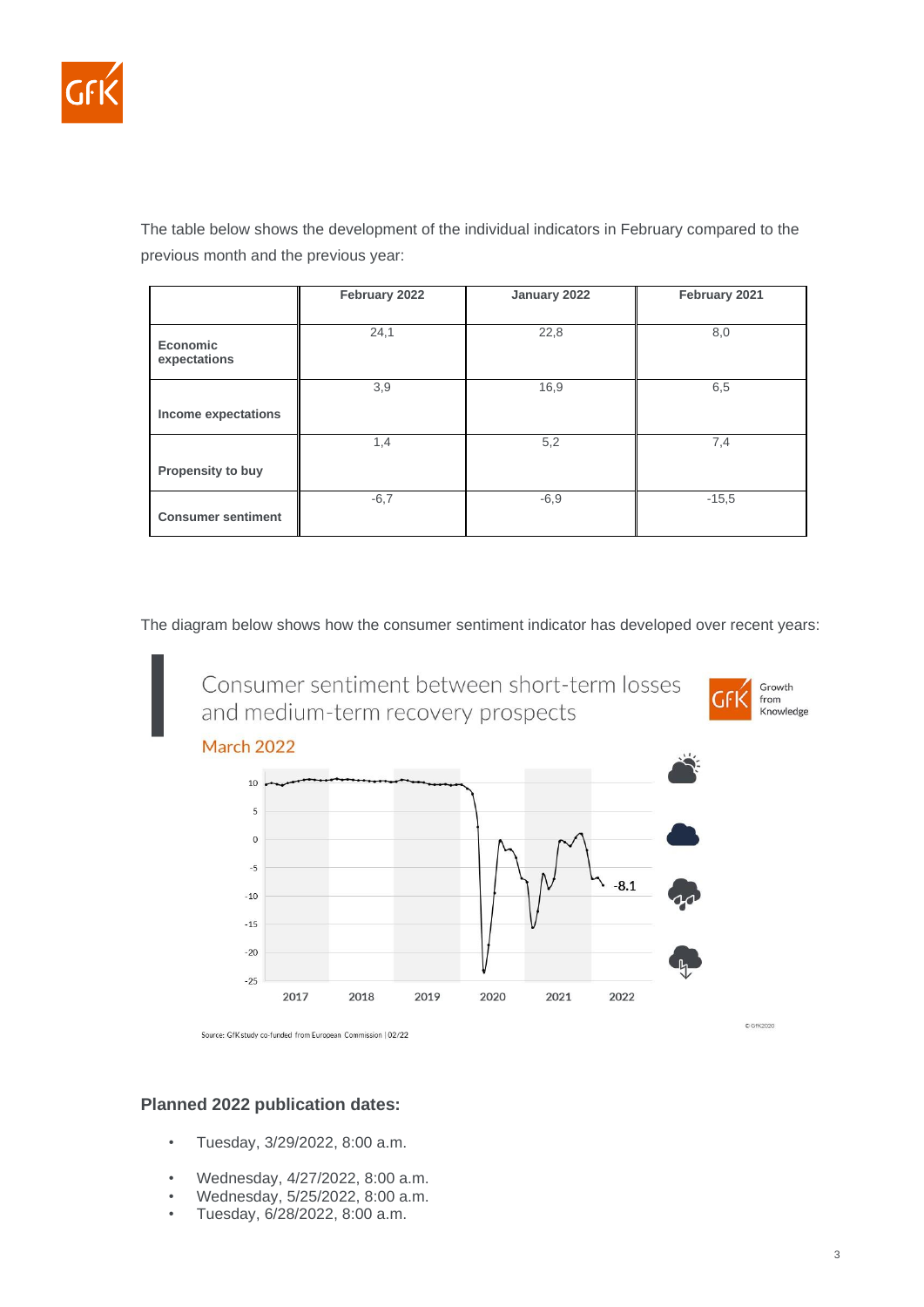

The table below shows the development of the individual indicators in February compared to the previous month and the previous year:

|                           | February 2022 | January 2022 | February 2021 |
|---------------------------|---------------|--------------|---------------|
|                           |               |              |               |
| Economic<br>expectations  | 24,1          | 22,8         | 8,0           |
|                           | 3,9           | 16,9         | 6,5           |
| Income expectations       |               |              |               |
|                           | 1,4           | 5,2          | 7,4           |
| Propensity to buy         |               |              |               |
| <b>Consumer sentiment</b> | $-6,7$        | $-6,9$       | $-15,5$       |

The diagram below shows how the consumer sentiment indicator has developed over recent years:





C GfK2020



Source: GfK study co-funded from European Commission | 02/22

#### **Planned 2022 publication dates:**

- Tuesday, 3/29/2022, 8:00 a.m.
- Wednesday, 4/27/2022, 8:00 a.m.
- Wednesday, 5/25/2022, 8:00 a.m.
- Tuesday, 6/28/2022, 8:00 a.m.